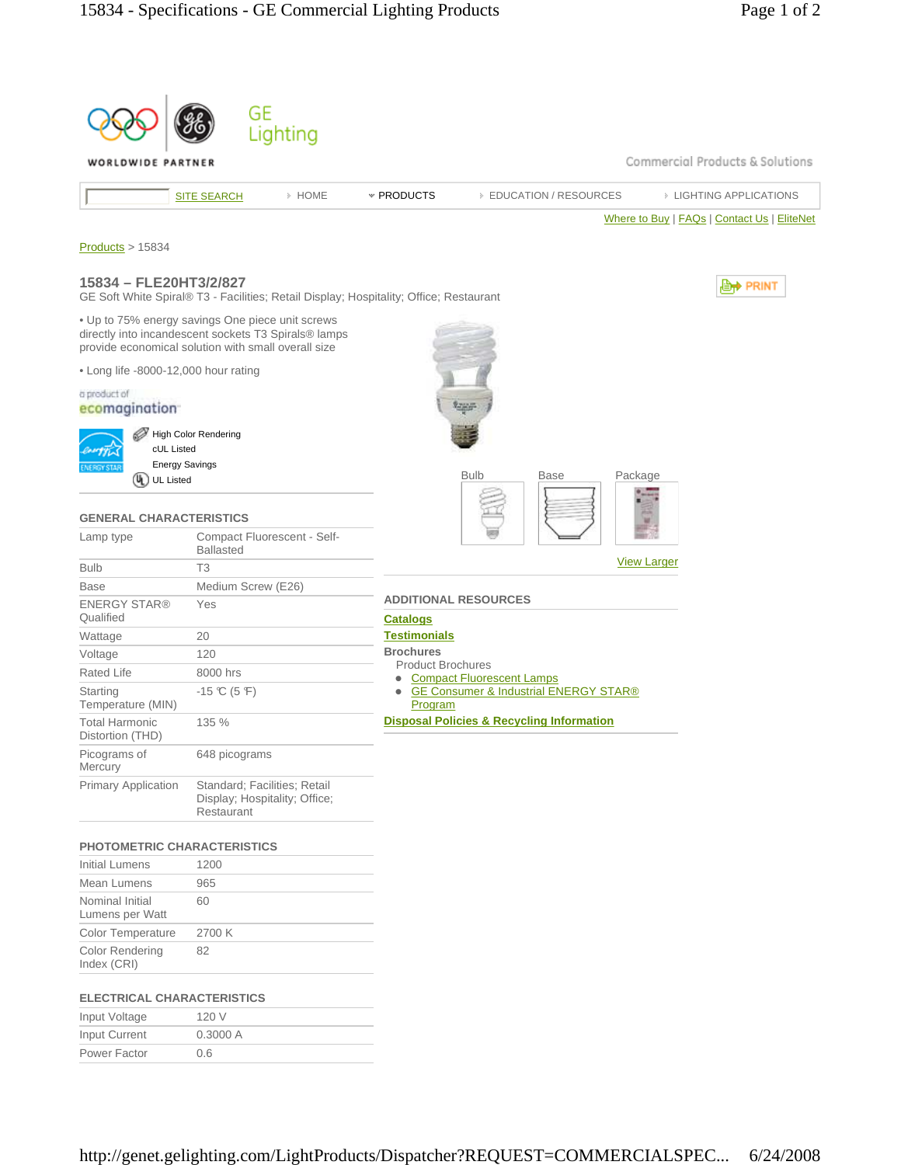